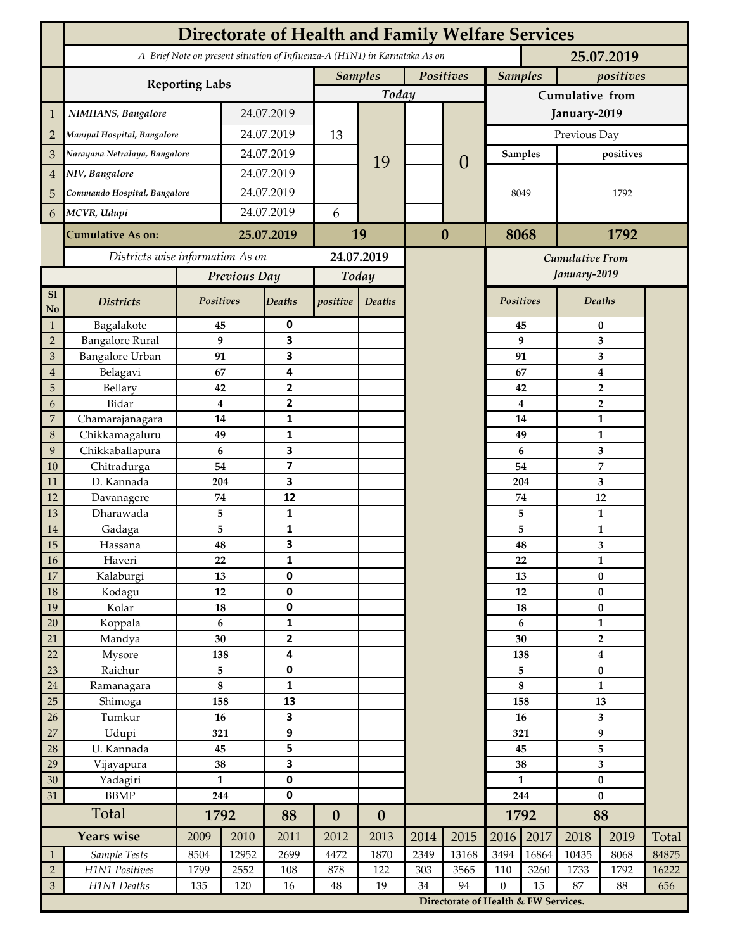|                           | <b>Directorate of Health and Family Welfare Services</b>                                 |                |              |                |                             |                  |                  |                                      |                             |                                        |              |                         |       |  |
|---------------------------|------------------------------------------------------------------------------------------|----------------|--------------|----------------|-----------------------------|------------------|------------------|--------------------------------------|-----------------------------|----------------------------------------|--------------|-------------------------|-------|--|
|                           | A Brief Note on present situation of Influenza-A (H1N1) in Karnataka As on<br>25.07.2019 |                |              |                |                             |                  |                  |                                      |                             |                                        |              |                         |       |  |
|                           |                                                                                          |                |              |                | <b>Samples</b><br>Positives |                  |                  |                                      | <b>Samples</b><br>positives |                                        |              |                         |       |  |
|                           | <b>Reporting Labs</b>                                                                    |                |              |                | Today                       |                  |                  |                                      | Cumulative from             |                                        |              |                         |       |  |
| 1                         | NIMHANS, Bangalore                                                                       | 24.07.2019     |              |                |                             |                  |                  | January-2019                         |                             |                                        |              |                         |       |  |
| $\overline{2}$            | Manipal Hospital, Bangalore                                                              |                | 24.07.2019   |                | 13                          |                  |                  |                                      | Previous Day                |                                        |              |                         |       |  |
| $\mathfrak{Z}$            | Narayana Netralaya, Bangalore                                                            |                |              | 24.07.2019     |                             |                  |                  | $\theta$                             |                             | <b>Samples</b>                         | positives    |                         |       |  |
| $\overline{4}$            | NIV, Bangalore                                                                           |                | 24.07.2019   |                |                             | 19               |                  |                                      |                             |                                        |              |                         |       |  |
| 5                         | Commando Hospital, Bangalore                                                             |                | 24.07.2019   |                |                             |                  |                  |                                      | 8049                        |                                        | 1792         |                         |       |  |
| 6                         | MCVR, Udupi                                                                              |                | 24.07.2019   |                | 6                           |                  |                  |                                      |                             |                                        |              |                         |       |  |
|                           | <b>Cumulative As on:</b>                                                                 |                | 25.07.2019   |                |                             |                  | $\boldsymbol{0}$ |                                      | 8068                        |                                        | 1792         |                         |       |  |
|                           |                                                                                          |                |              | 19             |                             |                  |                  |                                      |                             |                                        |              |                         |       |  |
|                           | Districts wise information As on                                                         |                |              | 24.07.2019     |                             |                  |                  |                                      |                             | <b>Cumulative From</b><br>January-2019 |              |                         |       |  |
| ${\bf S1}$                |                                                                                          |                | Previous Day |                | Today                       |                  |                  |                                      |                             |                                        |              |                         |       |  |
| No                        | <b>Districts</b>                                                                         | Positives      |              | <b>Deaths</b>  | positive                    | Deaths           |                  |                                      | Positives                   |                                        | Deaths       |                         |       |  |
| 1                         | Bagalakote                                                                               | 45             |              | 0              |                             |                  |                  |                                      |                             | 45                                     | $\bf{0}$     |                         |       |  |
| $\overline{2}$            | <b>Bangalore Rural</b>                                                                   | 9              |              | 3              |                             |                  |                  |                                      | 9                           | 3                                      |              |                         |       |  |
| $\mathfrak{Z}$            | <b>Bangalore Urban</b>                                                                   | 91             |              | 3              |                             |                  |                  |                                      |                             | 91                                     | 3            |                         |       |  |
| $\overline{4}$            | Belagavi                                                                                 | 67             |              | 4              |                             |                  |                  |                                      |                             | 67                                     | 4            |                         |       |  |
| $\overline{5}$            | Bellary                                                                                  | 42             |              | 2              |                             |                  |                  |                                      |                             | 42                                     |              | $\overline{\mathbf{2}}$ |       |  |
| 6                         | Bidar                                                                                    | $\overline{4}$ |              | $\overline{2}$ |                             |                  |                  |                                      |                             | $\overline{\mathbf{4}}$                |              | $\overline{\mathbf{2}}$ |       |  |
| $\overline{7}$<br>$\,8\,$ | Chamarajanagara<br>Chikkamagaluru                                                        | 14<br>49       |              | 1<br>1         |                             |                  |                  |                                      |                             | 14<br>49                               |              | 1<br>1                  |       |  |
| $\overline{9}$            | Chikkaballapura                                                                          | 6              |              | 3              |                             |                  |                  |                                      |                             | $\boldsymbol{6}$                       |              | 3                       |       |  |
| 10                        | Chitradurga                                                                              | 54             |              | 7              |                             |                  |                  |                                      |                             | 54                                     |              | 7                       |       |  |
| 11                        | D. Kannada                                                                               | 204            |              | 3              |                             |                  |                  |                                      |                             | 204                                    |              | 3                       |       |  |
| 12                        | Davanagere                                                                               | 74             |              | 12             |                             |                  |                  |                                      |                             | 74                                     | 12           |                         |       |  |
| 13                        | Dharawada                                                                                | 5              |              | 1              |                             |                  |                  |                                      |                             | 5                                      |              | $\mathbf{1}$            |       |  |
| 14                        | Gadaga                                                                                   | 5              |              | 1              |                             |                  |                  |                                      |                             | 5                                      | $\mathbf{1}$ |                         |       |  |
| 15                        | Hassana                                                                                  | 48             |              | 3              |                             |                  |                  |                                      |                             | 48                                     |              | 3                       |       |  |
| <b>16</b>                 | Haveri                                                                                   | 22             |              | $\mathbf 1$    |                             |                  |                  |                                      |                             | 22                                     |              | $\mathbf{1}$            |       |  |
| 17                        | Kalaburgi                                                                                | 13             |              | 0              |                             |                  |                  |                                      |                             | 13                                     | $\bf{0}$     |                         |       |  |
| 18                        | Kodagu                                                                                   | 12             |              | 0              |                             |                  |                  |                                      |                             | 12                                     | $\pmb{0}$    |                         |       |  |
| 19                        | Kolar                                                                                    | ${\bf 18}$     |              | $\pmb{0}$      |                             |                  |                  |                                      | 18                          |                                        | $\pmb{0}$    |                         |       |  |
| 20                        | Koppala                                                                                  | 6              |              | $\mathbf{1}$   |                             |                  |                  |                                      | $\boldsymbol{6}$            |                                        | $\mathbf{1}$ |                         |       |  |
| 21                        | Mandya                                                                                   | 30             |              | $\mathbf{2}$   |                             |                  |                  |                                      | 30                          |                                        |              | $\overline{2}$          |       |  |
| 22                        | Mysore                                                                                   | 138            |              | 4              |                             |                  |                  |                                      | 138                         |                                        |              | $\boldsymbol{4}$        |       |  |
| 23                        | Raichur                                                                                  | 5              |              | $\pmb{0}$      |                             |                  |                  |                                      |                             | 5                                      | $\bf{0}$     |                         |       |  |
| 24                        | Ramanagara                                                                               | $\bf 8$        |              | 1              |                             |                  |                  |                                      |                             | $\bf 8$                                | $\mathbf{1}$ |                         |       |  |
| 25                        | Shimoga                                                                                  | 158            |              | 13             |                             |                  |                  |                                      |                             | 158                                    |              | 13                      |       |  |
| 26                        | Tumkur                                                                                   | 16             |              | 3              |                             |                  |                  |                                      | 16<br>321                   |                                        | 3<br>9       |                         |       |  |
| 27                        | Udupi                                                                                    | 321<br>45      |              | 9              |                             |                  |                  |                                      |                             |                                        | 5            |                         |       |  |
| 28<br>29                  | U. Kannada<br>Vijayapura                                                                 | 38             |              | 5<br>3         |                             |                  |                  |                                      |                             | 45                                     | $\mathbf{3}$ |                         |       |  |
| 30                        | Yadagiri                                                                                 | $\mathbf{1}$   |              | $\pmb{0}$      |                             |                  |                  |                                      | 38<br>$\mathbf{1}$          |                                        | $\pmb{0}$    |                         |       |  |
| 31                        | <b>BBMP</b><br>244                                                                       |                |              | $\mathbf 0$    |                             |                  |                  |                                      | 244                         |                                        | $\bf{0}$     |                         |       |  |
|                           | Total                                                                                    | 1792           |              | 88             | $\boldsymbol{0}$            | $\boldsymbol{0}$ |                  |                                      | 1792                        |                                        | 88           |                         |       |  |
|                           | Years wise                                                                               |                | 2010         | 2011           | 2012                        | 2013             | 2014             | 2015                                 | 2016                        | 2017                                   | 2018         | 2019                    | Total |  |
| $\mathbf{1}$              | Sample Tests                                                                             | 8504           | 12952        | 2699           | 4472                        | 1870             | 2349             | 13168                                | 3494                        | 16864                                  | 10435        | 8068                    | 84875 |  |
| $\overline{2}$            | H1N1 Positives                                                                           | 1799           | 2552         | 108            | 878                         | 122              | 303              | 3565                                 | 110                         | 3260                                   | 1733         | 1792                    | 16222 |  |
| $\mathfrak{Z}$            | H1N1 Deaths                                                                              | 135            | 120          | 16             | $\rm 48$                    | 19               | 34               | 94                                   | $\mathbf{0}$                | 15                                     | 87           | 88                      | 656   |  |
|                           |                                                                                          |                |              |                |                             |                  |                  | Directorate of Health & FW Services. |                             |                                        |              |                         |       |  |